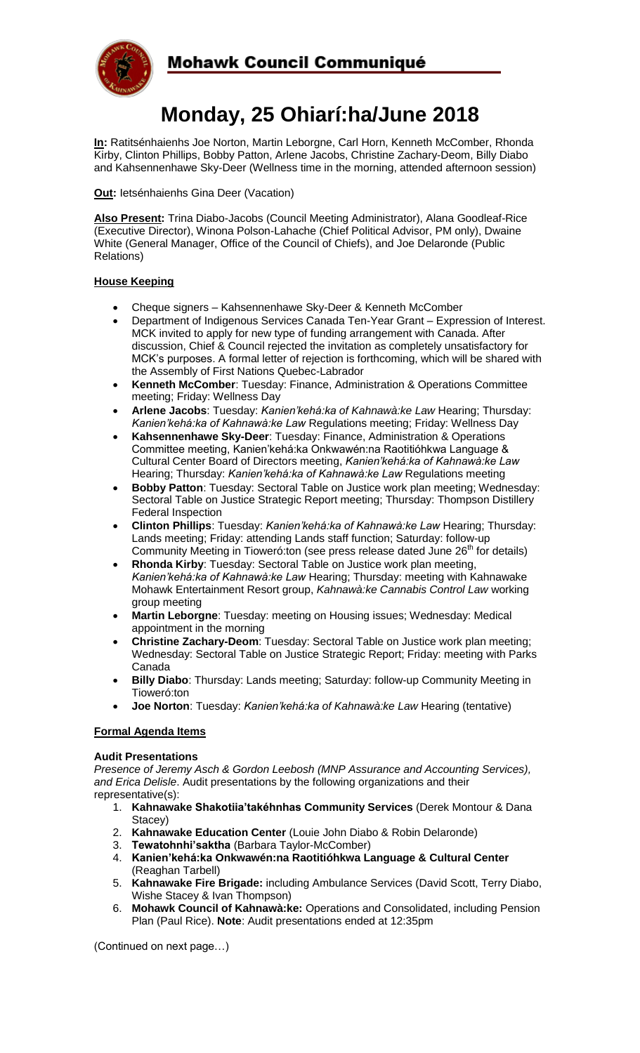

# **Monday, 25 Ohiarí:ha/June 2018**

**In:** Ratitsénhaienhs Joe Norton, Martin Leborgne, Carl Horn, Kenneth McComber, Rhonda Kirby, Clinton Phillips, Bobby Patton, Arlene Jacobs, Christine Zachary-Deom, Billy Diabo and Kahsennenhawe Sky-Deer (Wellness time in the morning, attended afternoon session)

**Out:** Ietsénhaienhs Gina Deer (Vacation)

**Also Present:** Trina Diabo-Jacobs (Council Meeting Administrator), Alana Goodleaf-Rice (Executive Director), Winona Polson-Lahache (Chief Political Advisor, PM only), Dwaine White (General Manager, Office of the Council of Chiefs), and Joe Delaronde (Public Relations)

## **House Keeping**

- Cheque signers Kahsennenhawe Sky-Deer & Kenneth McComber
- Department of Indigenous Services Canada Ten-Year Grant Expression of Interest. MCK invited to apply for new type of funding arrangement with Canada. After discussion, Chief & Council rejected the invitation as completely unsatisfactory for MCK's purposes. A formal letter of rejection is forthcoming, which will be shared with the Assembly of First Nations Quebec-Labrador
- **Kenneth McComber**: Tuesday: Finance, Administration & Operations Committee meeting; Friday: Wellness Day
- **Arlene Jacobs**: Tuesday: *Kanien'kehá:ka of Kahnawà:ke Law* Hearing; Thursday: *Kanien'kehá:ka of Kahnawà:ke Law* Regulations meeting; Friday: Wellness Day
- **Kahsennenhawe Sky-Deer**: Tuesday: Finance, Administration & Operations Committee meeting, Kanien'kehá:ka Onkwawén:na Raotitióhkwa Language & Cultural Center Board of Directors meeting, *Kanien'kehá:ka of Kahnawà:ke Law* Hearing; Thursday: *Kanien'kehá:ka of Kahnawà:ke Law* Regulations meeting
- **Bobby Patton**: Tuesday: Sectoral Table on Justice work plan meeting; Wednesday: Sectoral Table on Justice Strategic Report meeting; Thursday: Thompson Distillery Federal Inspection
- **Clinton Phillips**: Tuesday: *Kanien'kehá:ka of Kahnawà:ke Law* Hearing; Thursday: Lands meeting; Friday: attending Lands staff function; Saturday: follow-up Community Meeting in Tioweró: ton (see press release dated June 26<sup>th</sup> for details)
- **Rhonda Kirby**: Tuesday: Sectoral Table on Justice work plan meeting, *Kanien'kehá:ka of Kahnawà:ke Law* Hearing; Thursday: meeting with Kahnawake Mohawk Entertainment Resort group, *Kahnawà:ke Cannabis Control Law* working group meeting
- **Martin Leborgne**: Tuesday: meeting on Housing issues; Wednesday: Medical appointment in the morning
- **Christine Zachary-Deom**: Tuesday: Sectoral Table on Justice work plan meeting; Wednesday: Sectoral Table on Justice Strategic Report; Friday: meeting with Parks Canada
- **Billy Diabo**: Thursday: Lands meeting; Saturday: follow-up Community Meeting in Tioweró:ton
- **Joe Norton**: Tuesday: *Kanien'kehá:ka of Kahnawà:ke Law* Hearing (tentative)

# **Formal Agenda Items**

#### **Audit Presentations**

*Presence of Jeremy Asch & Gordon Leebosh (MNP Assurance and Accounting Services), and Erica Delisle*. Audit presentations by the following organizations and their representative(s):

- 1. **Kahnawake Shakotiia'takéhnhas Community Services** (Derek Montour & Dana Stacey)
- 2. **Kahnawake Education Center** (Louie John Diabo & Robin Delaronde)
- 3. **Tewatohnhi'saktha** (Barbara Taylor-McComber)
- 4. **Kanien'kehá:ka Onkwawén:na Raotitióhkwa Language & Cultural Center**  (Reaghan Tarbell)
- 5. **Kahnawake Fire Brigade:** including Ambulance Services (David Scott, Terry Diabo, Wishe Stacey & Ivan Thompson)
- 6. **Mohawk Council of Kahnawà:ke:** Operations and Consolidated, including Pension Plan (Paul Rice). **Note**: Audit presentations ended at 12:35pm

(Continued on next page…)